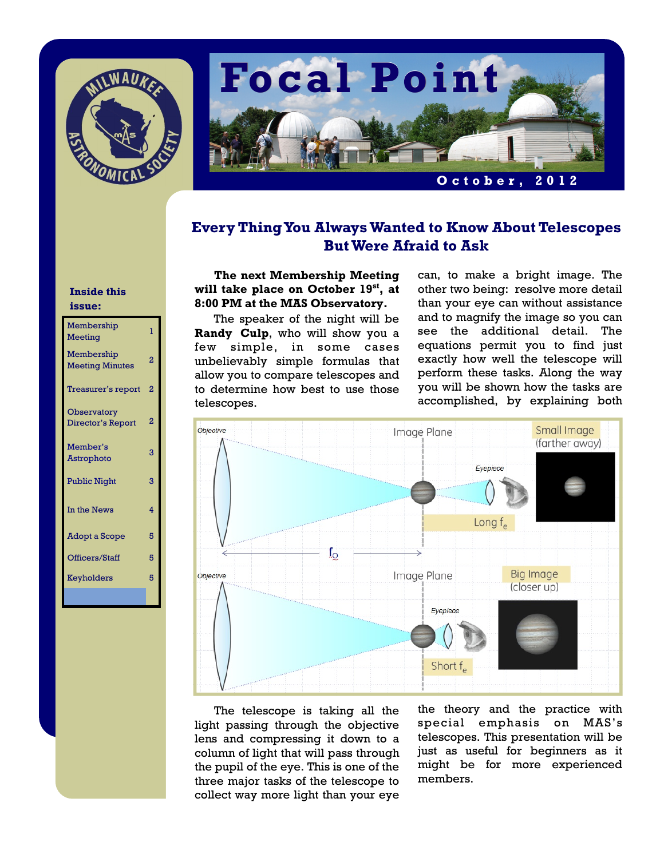



### **Every Thing You Always Wanted to Know About Telescopes But Were Afraid to Ask**

#### **Inside this issue:**

| Membership<br>Meeting                   | T              |
|-----------------------------------------|----------------|
| Membership<br><b>Meeting Minutes</b>    | $\overline{2}$ |
| Treasurer's report                      | 2              |
| <b>Observatory</b><br>Director's Report | 2              |
| Member's<br>Astrophoto                  | 3              |
| <b>Public Night</b>                     | 3              |
| In the News                             | 4              |
| <b>Adopt a Scope</b>                    | 5              |
| Officers/Staff                          | 5              |
| Keyholders                              | 5              |
|                                         |                |

**The next Membership Meeting will take place on October 19st, at 8:00 PM at the MAS Observatory.** 

 The speaker of the night will be **Randy Culp**, who will show you a few simple, in some cases unbelievably simple formulas that allow you to compare telescopes and to determine how best to use those telescopes.

can, to make a bright image. The other two being: resolve more detail than your eye can without assistance and to magnify the image so you can see the additional detail. The equations permit you to find just exactly how well the telescope will perform these tasks. Along the way you will be shown how the tasks are accomplished, by explaining both



 The telescope is taking all the light passing through the objective lens and compressing it down to a column of light that will pass through the pupil of the eye. This is one of the three major tasks of the telescope to collect way more light than your eye

the theory and the practice with special emphasis on MAS's telescopes. This presentation will be just as useful for beginners as it might be for more experienced members.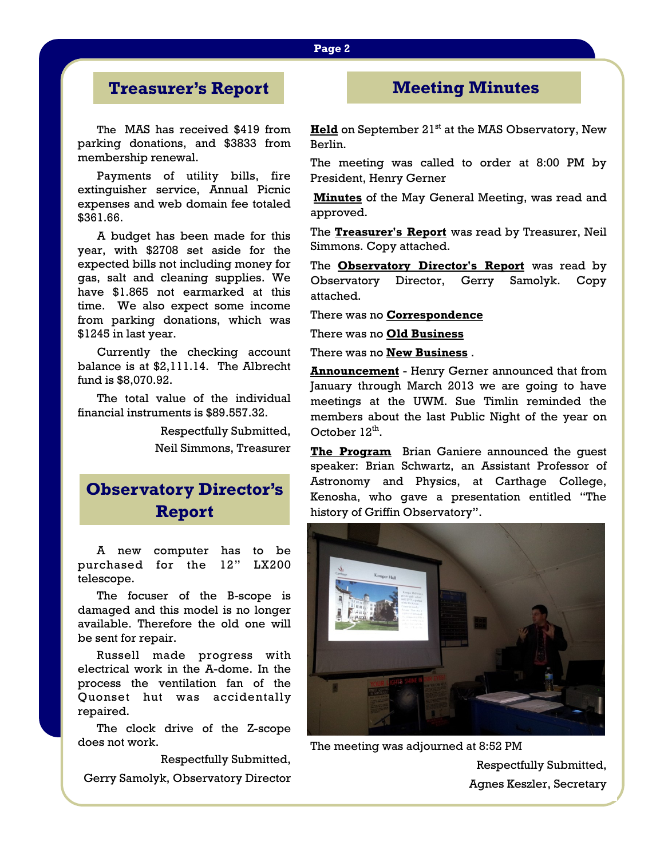## **Treasurer's Report**

 The MAS has received \$419 from parking donations, and \$3833 from membership renewal.

 Payments of utility bills, fire extinguisher service, Annual Picnic expenses and web domain fee totaled \$361.66.

 A budget has been made for this year, with \$2708 set aside for the expected bills not including money for gas, salt and cleaning supplies. We have \$1.865 not earmarked at this time. We also expect some income from parking donations, which was \$1245 in last year.

 Currently the checking account balance is at \$2,111.14. The Albrecht fund is \$8,070.92.

 The total value of the individual financial instruments is \$89.557.32.

> Respectfully Submitted, Neil Simmons, Treasurer

# **Observatory Director's Report**

A new computer has to be purchased for the 12" LX200 telescope.

 The focuser of the B-scope is damaged and this model is no longer available. Therefore the old one will be sent for repair.

 Russell made progress with electrical work in the A-dome. In the process the ventilation fan of the Quonset hut was accidentally repaired.

 The clock drive of the Z-scope does not work.

Respectfully Submitted,

Gerry Samolyk, Observatory Director

### **Meeting Minutes**

**Held** on September 21<sup>st</sup> at the MAS Observatory, New Berlin.

The meeting was called to order at 8:00 PM by President, Henry Gerner

**Minutes** of the May General Meeting, was read and approved.

The **Treasurer's Report** was read by Treasurer, Neil Simmons. Copy attached.

The **Observatory Director's Report** was read by Observatory Director, Gerry Samolyk. Copy attached.

There was no **Correspondence** 

There was no **Old Business** 

There was no **New Business** .

**Announcement** - Henry Gerner announced that from January through March 2013 we are going to have meetings at the UWM. Sue Timlin reminded the members about the last Public Night of the year on October  $12^{th}$ .

The Program Brian Ganiere announced the guest speaker: Brian Schwartz, an Assistant Professor of Astronomy and Physics, at Carthage College, Kenosha, who gave a presentation entitled "The history of Griffin Observatory".



The meeting was adjourned at 8:52 PM

Respectfully Submitted, Agnes Keszler, Secretary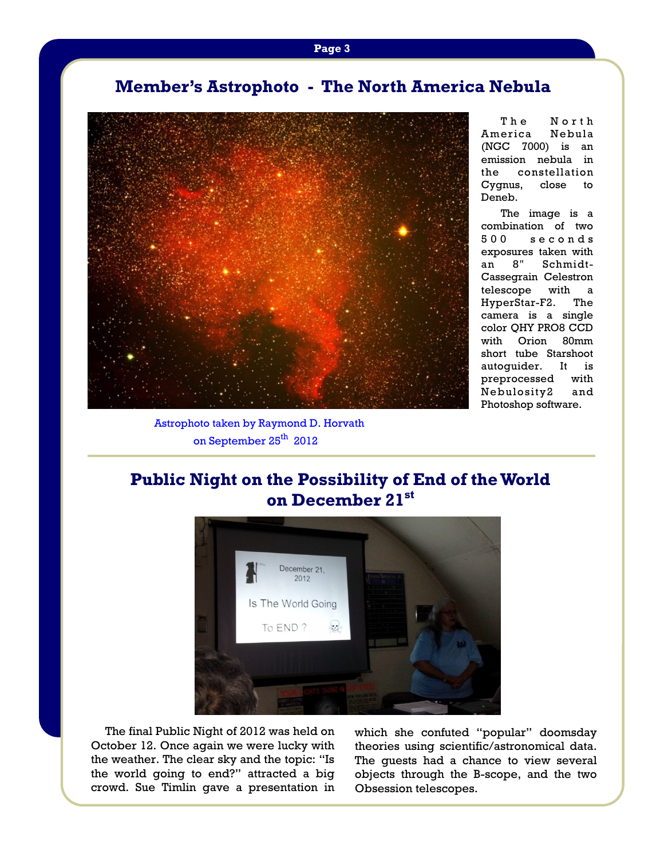## **Member's Astrophoto - The North America Nebula**



The North America Nebula (NGC 7000) is an emission nebula in the constellation Cygnus, close to Deneb.

 The image is a combination of two 500 seconds exposures taken with an 8" Schmidt-Cassegrain Celestron telescope with a HyperStar-F2. The camera is a single color QHY PRO8 CCD with Orion 80mm short tube Starshoot autoguider. It is preprocessed with Nebulosity2 and Photoshop software.

Astrophoto taken by Raymond D. Horvath on September 25<sup>th</sup> 2012

# **Public Night on the Possibility of End of the World on December 21st**



The final Public Night of 2012 was held on October 12. Once again we were lucky with the weather. The clear sky and the topic: "Is the world going to end?" attracted a big crowd. Sue Timlin gave a presentation in which she confuted "popular" doomsday theories using scientific/astronomical data. The guests had a chance to view several objects through the B-scope, and the two Obsession telescopes.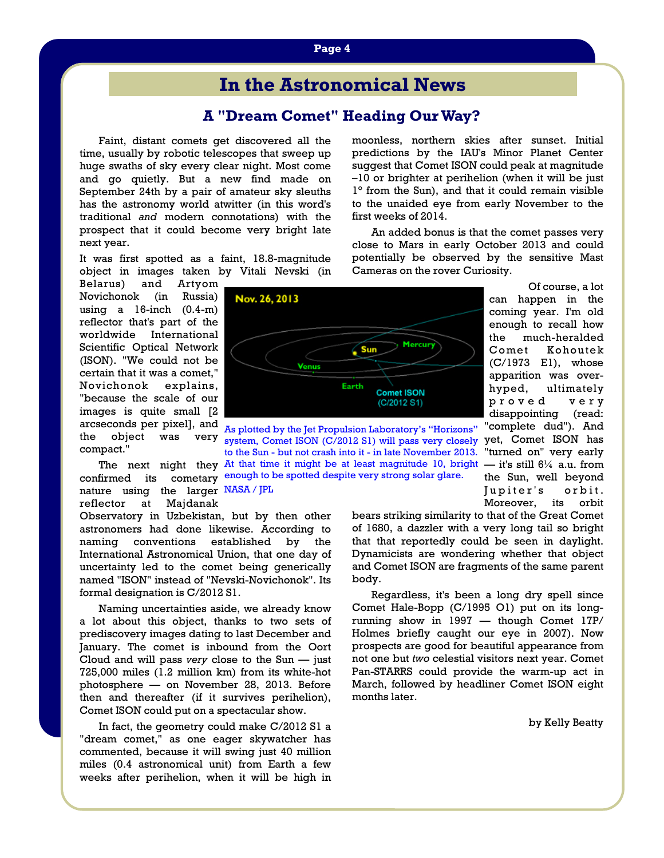# **In the Astronomical News**

#### **A "Dream Comet" Heading Our Way?**

Faint, distant comets get discovered all the time, usually by robotic telescopes that sweep up huge swaths of sky every clear night. Most come and go quietly. But a new find made on September 24th by a pair of amateur sky sleuths has the astronomy world atwitter (in this word's traditional *and* modern connotations) with the prospect that it could become very bright late next year.

It was first spotted as a faint, 18.8-magnitude object in images taken by Vitali Nevski (in

Belarus) and Artyom Novichonok (in Russia) using a 16-inch (0.4-m) reflector that's part of the worldwide International Scientific Optical Network (ISON). "We could not be certain that it was a comet," Novichonok explains, "because the scale of our images is quite small [2 arcseconds per pixel], and compact."

nature using the larger NASA / JPL reflector at Majdanak

Observatory in Uzbekistan, but by then other astronomers had done likewise. According to naming conventions established by the International Astronomical Union, that one day of uncertainty led to the comet being generically named "ISON" instead of "Nevski-Novichonok". Its formal designation is C/2012 S1.

 Naming uncertainties aside, we already know a lot about this object, thanks to two sets of prediscovery images dating to last December and January. The comet is inbound from the Oort Cloud and will pass *very* close to the Sun — just 725,000 miles (1.2 million km) from its white-hot photosphere — on November 28, 2013. Before then and thereafter (if it survives perihelion), Comet ISON could put on a spectacular show.

 In fact, the geometry could make C/2012 S1 a "dream comet," as one eager skywatcher has commented, because it will swing just 40 million miles (0.4 astronomical unit) from Earth a few weeks after perihelion, when it will be high in moonless, northern skies after sunset. Initial predictions by the IAU's Minor Planet Center suggest that Comet ISON could peak at magnitude –10 or brighter at perihelion (when it will be just 1° from the Sun), and that it could remain visible to the unaided eye from early November to the first weeks of 2014.

 An added bonus is that the comet passes very close to Mars in early October 2013 and could potentially be observed by the sensitive Mast Cameras on the rover Curiosity.



arcseconds per pixer<sub>1</sub>, and As plotted by the Jet Propulsion Laboratory's "Horizons"<br>the object was very system Comet ISON (C/2012 S1) will pass very closely The next night they At that time it might be at least magnitude 10, bright  $-$  it's still  $6\frac{1}{4}$  a.u. from confirmed its cometary enough to be spotted despite very strong solar glare. very system, Comet ISON (C/2012 S1) will pass very closely to the Sun - but not crash into it - in late November 2013.

 Of course, a lot can happen in the coming year. I'm old enough to recall how the much-heralded Comet Kohoutek (C/1973 E1), whose apparition was overhyped, ultimately proved very disappointing (read: "complete dud"). And

yet, Comet ISON has "turned on" very early the Sun, well beyond Jupiter's orbit. Moreover, its orbit

bears striking similarity to that of the Great Comet of 1680, a dazzler with a very long tail so bright that that reportedly could be seen in daylight. Dynamicists are wondering whether that object and Comet ISON are fragments of the same parent body.

 Regardless, it's been a long dry spell since Comet Hale-Bopp (C/1995 O1) put on its longrunning show in 1997 — though Comet 17P/ Holmes briefly caught our eye in 2007). Now prospects are good for beautiful appearance from not one but *two* celestial visitors next year. Comet Pan-STARRS could provide the warm-up act in March, followed by headliner Comet ISON eight months later.

by Kelly Beatty